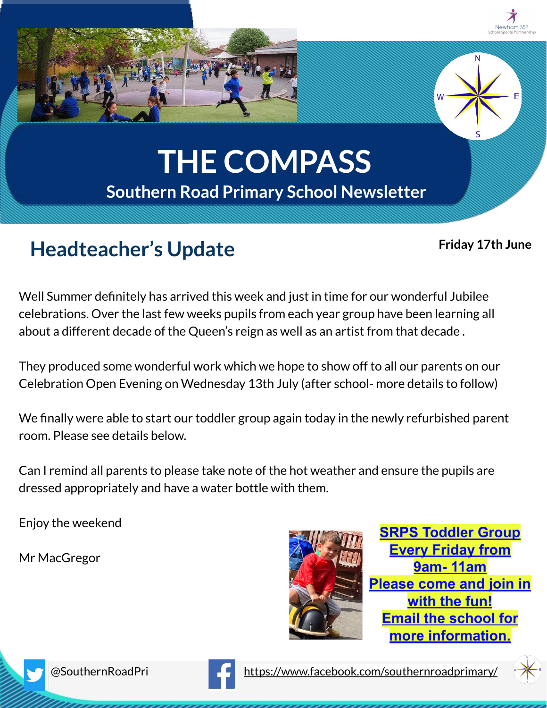

## **Headteacher's Update**

## **Friday 17th June**

Well Summer definitely has arrived this week and just in time for our wonderful Jubilee celebrations. Over the last few weeks pupils from each year group have been learning all about a different decade of the Queen's reign as well as an artist from that decade .

They produced some wonderful work which we hope to show off to all our parents on our Celebration Open Evening on Wednesday 13th July (after school- more details to follow)

We finally were able to start our toddler group again today in the newly refurbished parent room. Please see details below.

Can I remind all parents to please take note of the hot weather and ensure the pupils are dressed appropriately and have a water bottle with them.

Enjoy the weekend

Mr MacGregor



**SRPS Toddler Group Every Friday from 9am- 11am Please come and join in with the fun! Email the school for more information.**





@SouthernRoadPri <https://www.facebook.com/southernroadprimary/>

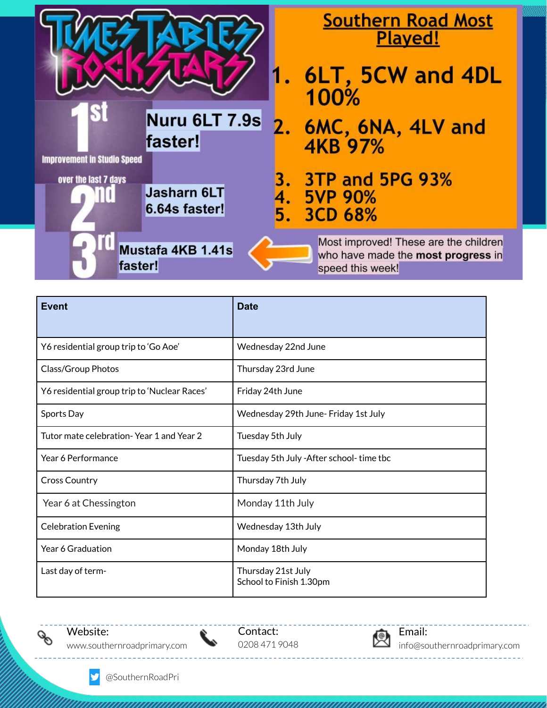|                                                                                                   | <b>Southern Road Most</b><br>Played!                                                            |
|---------------------------------------------------------------------------------------------------|-------------------------------------------------------------------------------------------------|
|                                                                                                   | 6LT, 5CW and 4DL<br>100%                                                                        |
| Nuru 6LT 7.9s<br>faster!                                                                          | 2. 6MC, 6NA, 4LV and<br>4KB 97%                                                                 |
| <b>Improvement in Studio Speed</b><br>over the last 7 days<br><b>Jasharn 6LT</b><br>6.64s faster! | 3TP and 5PG 93%<br>4. 5VP 90%<br>5.<br>3CD 68%                                                  |
| Mustafa 4KB 1.41s<br>faster!                                                                      | Most improved! These are the children<br>who have made the most progress in<br>speed this week! |

| <b>Event</b>                                 | <b>Date</b>                                   |
|----------------------------------------------|-----------------------------------------------|
| Y6 residential group trip to 'Go Aoe'        | Wednesday 22nd June                           |
| Class/Group Photos                           | Thursday 23rd June                            |
| Y6 residential group trip to 'Nuclear Races' | Friday 24th June                              |
| Sports Day                                   | Wednesday 29th June- Friday 1st July          |
| Tutor mate celebration-Year 1 and Year 2     | Tuesday 5th July                              |
| Year 6 Performance                           | Tuesday 5th July - After school-time tbc      |
| <b>Cross Country</b>                         | Thursday 7th July                             |
| Year 6 at Chessington                        | Monday 11th July                              |
| <b>Celebration Evening</b>                   | Wednesday 13th July                           |
| Year 6 Graduation                            | Monday 18th July                              |
| Last day of term-                            | Thursday 21st July<br>School to Finish 1.30pm |



y

Contact: 0208 471 9048

╰



info@southernroadprimary.com

\_\_\_\_\_\_\_\_\_\_\_\_\_

@SouthernRoadPri

<u>. . . . . . . . . .</u>